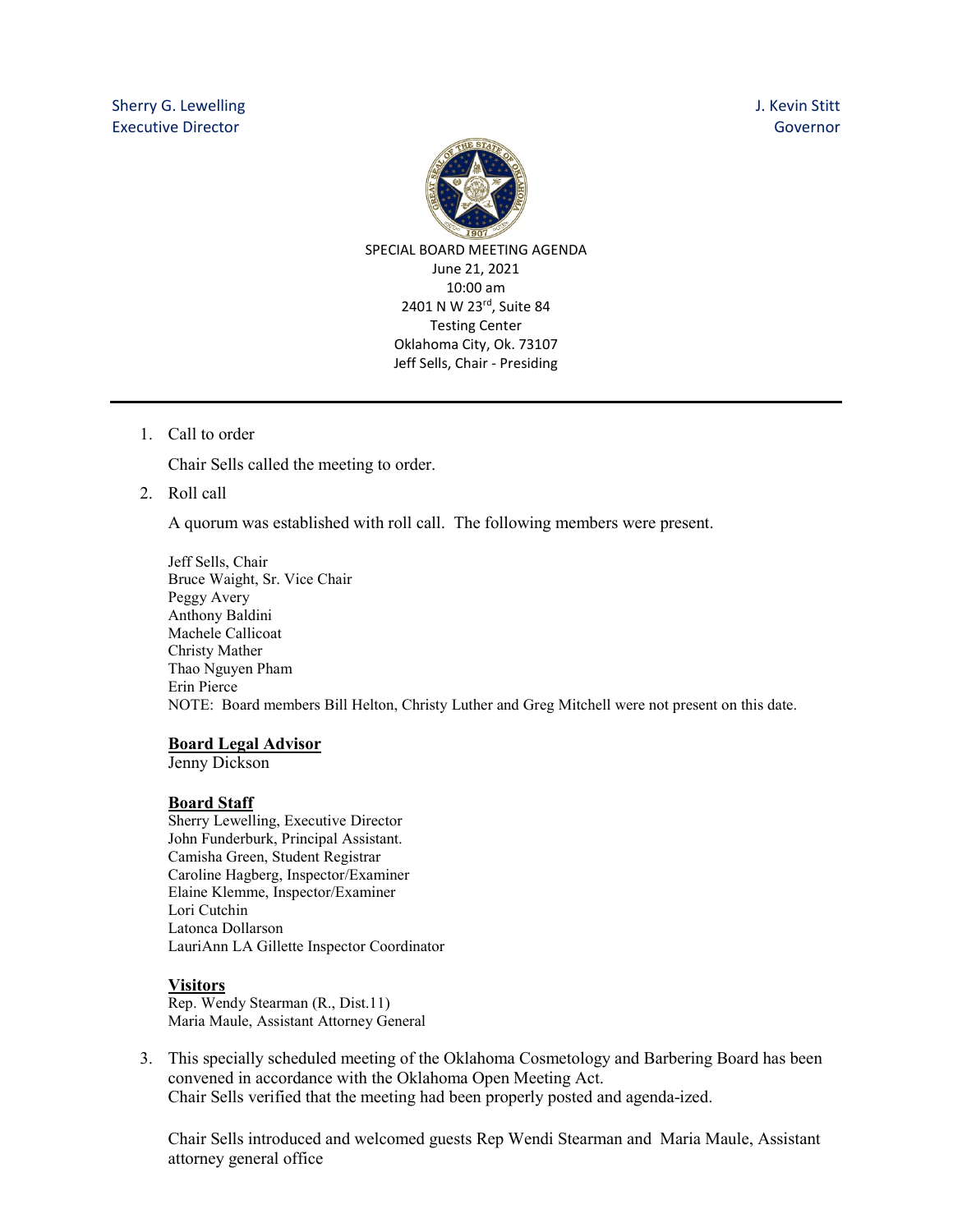

1. Call to order

Chair Sells called the meeting to order.

2. Roll call

A quorum was established with roll call. The following members were present.

Jeff Sells, Chair Bruce Waight, Sr. Vice Chair Peggy Avery Anthony Baldini Machele Callicoat Christy Mather Thao Nguyen Pham Erin Pierce NOTE: Board members Bill Helton, Christy Luther and Greg Mitchell were not present on this date.

## **Board Legal Advisor**

Jenny Dickson

## **Board Staff**

Sherry Lewelling, Executive Director John Funderburk, Principal Assistant. Camisha Green, Student Registrar Caroline Hagberg, Inspector/Examiner Elaine Klemme, Inspector/Examiner Lori Cutchin Latonca Dollarson LauriAnn LA Gillette Inspector Coordinator

## **Visitors**

Rep. Wendy Stearman (R., Dist.11) Maria Maule, Assistant Attorney General

3. This specially scheduled meeting of the Oklahoma Cosmetology and Barbering Board has been convened in accordance with the Oklahoma Open Meeting Act. Chair Sells verified that the meeting had been properly posted and agenda-ized.

Chair Sells introduced and welcomed guests Rep Wendi Stearman and Maria Maule, Assistant attorney general office